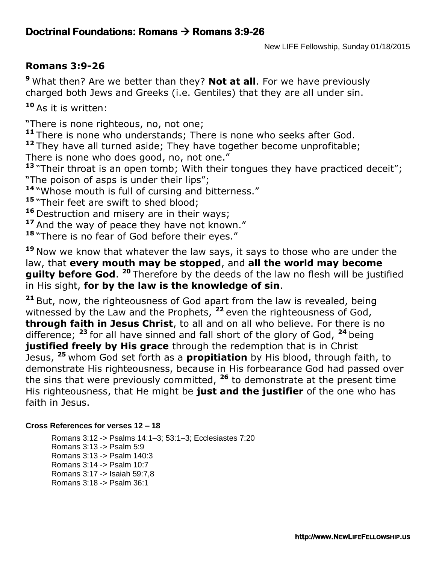## **Doctrinal Foundations: Romans Romans 3:9-26**

## **Romans 3:9-26**

**<sup>9</sup>** What then? Are we better than they? **Not at all**. For we have previously charged both Jews and Greeks (i.e. Gentiles) that they are all under sin.

**<sup>10</sup>** As it is written:

"There is none righteous, no, not one;

**<sup>11</sup>** There is none who understands; There is none who seeks after God.

**<sup>12</sup>** They have all turned aside; They have together become unprofitable; There is none who does good, no, not one."

<sup>13</sup> "Their throat is an open tomb; With their tongues they have practiced deceit"; "The poison of asps is under their lips";

**<sup>14</sup>** "Whose mouth is full of cursing and bitterness."

<sup>15</sup> "Their feet are swift to shed blood;

**<sup>16</sup>** Destruction and misery are in their ways;

<sup>17</sup> And the way of peace they have not known."

<sup>18</sup> "There is no fear of God before their eyes."

**<sup>19</sup>** Now we know that whatever the law says, it says to those who are under the law, that **every mouth may be stopped**, and **all the world may become guilty before God.** <sup>20</sup> Therefore by the deeds of the law no flesh will be justified in His sight, **for by the law is the knowledge of sin**.

**<sup>21</sup>** But, now, the righteousness of God apart from the law is revealed, being witnessed by the Law and the Prophets, **<sup>22</sup>** even the righteousness of God, **through faith in Jesus Christ**, to all and on all who believe. For there is no difference; **<sup>23</sup>** for all have sinned and fall short of the glory of God, **<sup>24</sup>** being **justified freely by His grace** through the redemption that is in Christ Jesus, **<sup>25</sup>** whom God set forth as a **propitiation** by His blood, through faith, to demonstrate His righteousness, because in His forbearance God had passed over the sins that were previously committed, **<sup>26</sup>** to demonstrate at the present time His righteousness, that He might be **just and the justifier** of the one who has faith in Jesus.

## **Cross References for verses 12 – 18**

Romans 3:12 -> Psalms 14:1–3; 53:1–3; Ecclesiastes 7:20 Romans 3:13 -> Psalm 5:9 Romans 3:13 -> Psalm 140:3 Romans 3:14 -> Psalm 10:7 Romans 3:17 -> Isaiah 59:7,8 Romans 3:18 -> Psalm 36:1